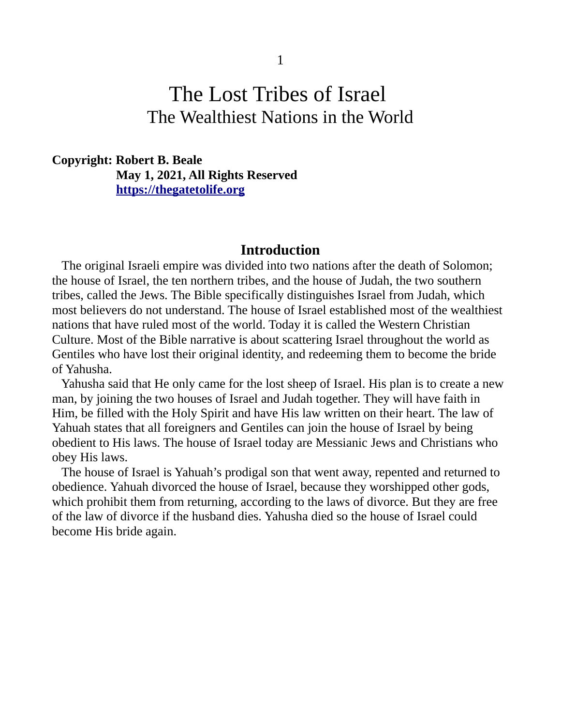#### 1

# The Lost Tribes of Israel The Wealthiest Nations in the World

#### **Copyright: Robert B. Beale May 1, 2021, All Rights Reserved [https://thegatetolife .org](https://thegatetolife.org/)**

#### **Introduction**

The original Israeli empire was divided into two nations after the death of Solomon; the house of Israel, the ten northern tribes, and the house of Judah, the two southern tribes, called the Jews. The Bible specifically distinguishes Israel from Judah, which most believers do not understand. The house of Israel established most of the wealthiest nations that have ruled most of the world. Today it is called the Western Christian Culture. Most of the Bible narrative is about scattering Israel throughout the world as Gentiles who have lost their original identity, and redeeming them to become the bride of Yahusha.

 Yahusha said that He only came for the lost sheep of Israel. His plan is to create a new man, by joining the two houses of Israel and Judah together. They will have faith in Him, be filled with the Holy Spirit and have His law written on their heart. The law of Yahuah states that all foreigners and Gentiles can join the house of Israel by being obedient to His laws. The house of Israel today are Messianic Jews and Christians who obey His laws.

 The house of Israel is Yahuah's prodigal son that went away, repented and returned to obedience. Yahuah divorced the house of Israel, because they worshipped other gods, which prohibit them from returning, according to the laws of divorce. But they are free of the law of divorce if the husband dies. Yahusha died so the house of Israel could become His bride again.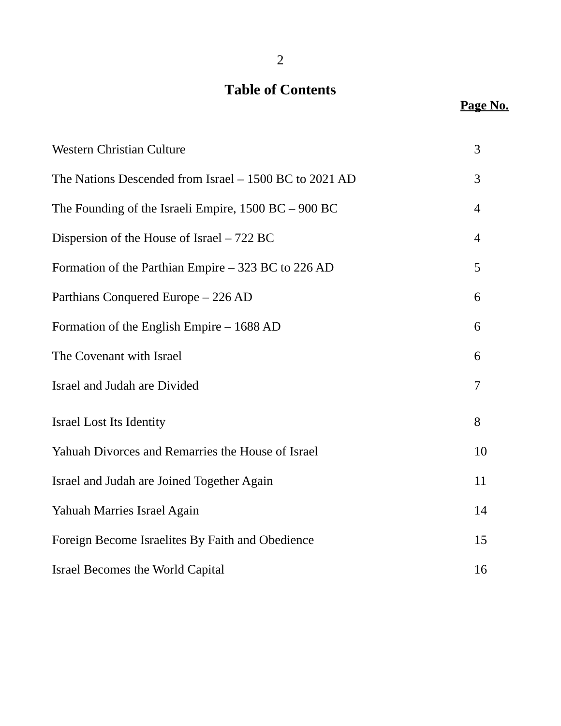# **Table of Contents**

# Page No.

| <b>Western Christian Culture</b>                         | 3              |
|----------------------------------------------------------|----------------|
| The Nations Descended from Israel - 1500 BC to 2021 AD   | 3              |
| The Founding of the Israeli Empire, $1500$ BC $-$ 900 BC | 4              |
| Dispersion of the House of Israel – 722 BC               | $\overline{4}$ |
| Formation of the Parthian Empire - 323 BC to 226 AD      | 5              |
| Parthians Conquered Europe - 226 AD                      | 6              |
| Formation of the English Empire - 1688 AD                | 6              |
| The Covenant with Israel                                 | 6              |
| Israel and Judah are Divided                             | 7              |
| <b>Israel Lost Its Identity</b>                          | 8              |
| Yahuah Divorces and Remarries the House of Israel        | 10             |
| Israel and Judah are Joined Together Again               | 11             |
| Yahuah Marries Israel Again                              | 14             |
| Foreign Become Israelites By Faith and Obedience         | 15             |
| <b>Israel Becomes the World Capital</b>                  | 16             |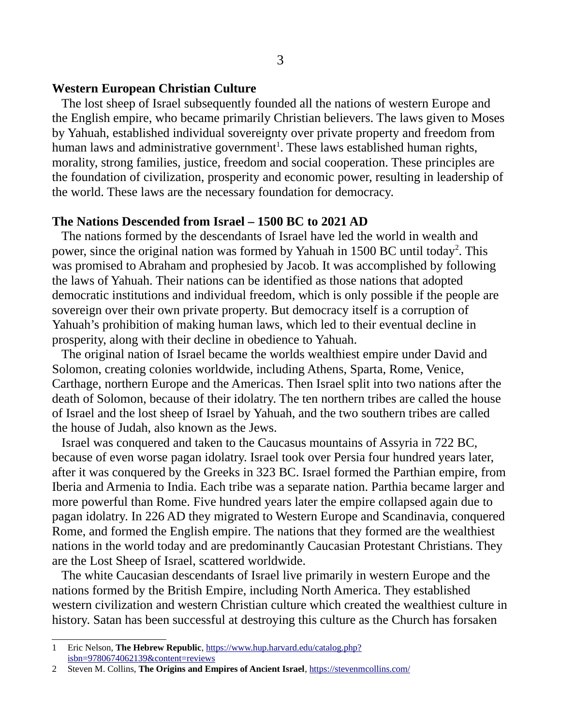#### **Western European Christian Culture**

 The lost sheep of Israel subsequently founded all the nations of western Europe and the English empire, who became primarily Christian believers. The laws given to Moses by Yahuah, established individual sovereignty over private property and freedom from human laws and administrative government<sup>[1](#page-2-0)</sup>. These laws established human rights, morality, strong families, justice, freedom and social cooperation. These principles are the foundation of civilization, prosperity and economic power, resulting in leadership of the world. These laws are the necessary foundation for democracy.

#### **The Nations Descended from Israel – 1500 BC to 2021 AD**

 The nations formed by the descendants of Israel have led the world in wealth and power, since the original nation was formed by Yahuah in 1500 BC until today<sup>[2](#page-2-1)</sup>. This was promised to Abraham and prophesied by Jacob. It was accomplished by following the laws of Yahuah. Their nations can be identified as those nations that adopted democratic institutions and individual freedom, which is only possible if the people are sovereign over their own private property. But democracy itself is a corruption of Yahuah's prohibition of making human laws, which led to their eventual decline in prosperity, along with their decline in obedience to Yahuah.

 The original nation of Israel became the worlds wealthiest empire under David and Solomon, creating colonies worldwide, including Athens, Sparta, Rome, Venice, Carthage, northern Europe and the Americas. Then Israel split into two nations after the death of Solomon, because of their idolatry. The ten northern tribes are called the house of Israel and the lost sheep of Israel by Yahuah, and the two southern tribes are called the house of Judah, also known as the Jews.

 Israel was conquered and taken to the Caucasus mountains of Assyria in 722 BC, because of even worse pagan idolatry. Israel took over Persia four hundred years later, after it was conquered by the Greeks in 323 BC. Israel formed the Parthian empire, from Iberia and Armenia to India. Each tribe was a separate nation. Parthia became larger and more powerful than Rome. Five hundred years later the empire collapsed again due to pagan idolatry. In 226 AD they migrated to Western Europe and Scandinavia, conquered Rome, and formed the English empire. The nations that they formed are the wealthiest nations in the world today and are predominantly Caucasian Protestant Christians. They are the Lost Sheep of Israel, scattered worldwide.

 The white Caucasian descendants of Israel live primarily in western Europe and the nations formed by the British Empire, including North America. They established western civilization and western Christian culture which created the wealthiest culture in history. Satan has been successful at destroying this culture as the Church has forsaken

<span id="page-2-0"></span><sup>1</sup> Eric Nelson, **The Hebrew Republic**, [https://www.hup.harvard.edu/catalog.php?](https://www.hup.harvard.edu/catalog.php?isbn=9780674062139&content=reviews) [isbn=9780674062139&content=reviews](https://www.hup.harvard.edu/catalog.php?isbn=9780674062139&content=reviews)

<span id="page-2-1"></span><sup>2</sup> Steven M. Collins, **The Origins and Empires of Ancient Israel**, <https://stevenmcollins.com/>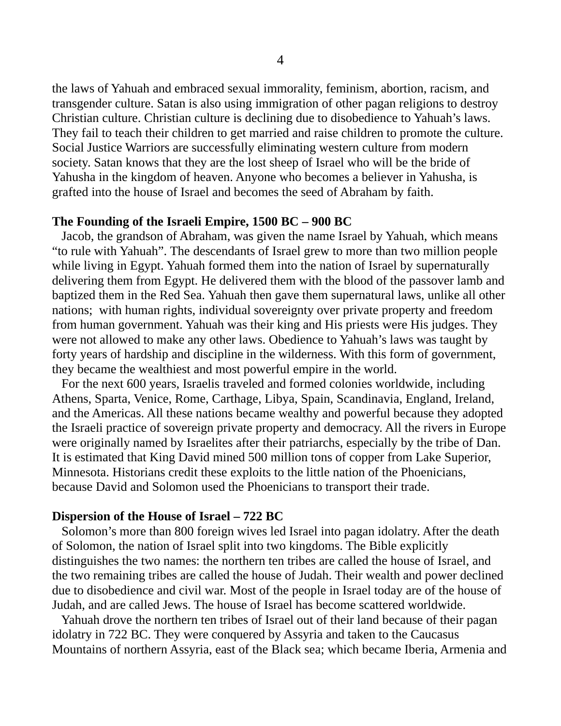the laws of Yahuah and embraced sexual immorality, feminism, abortion, racism, and transgender culture. Satan is also using immigration of other pagan religions to destroy Christian culture. Christian culture is declining due to disobedience to Yahuah's laws. They fail to teach their children to get married and raise children to promote the culture. Social Justice Warriors are successfully eliminating western culture from modern society. Satan knows that they are the lost sheep of Israel who will be the bride of Yahusha in the kingdom of heaven. Anyone who becomes a believer in Yahusha, is grafted into the house of Israel and becomes the seed of Abraham by faith.

#### **The Founding of the Israeli Empire, 1500 BC – 900 BC**

 Jacob, the grandson of Abraham, was given the name Israel by Yahuah, which means "to rule with Yahuah". The descendants of Israel grew to more than two million people while living in Egypt. Yahuah formed them into the nation of Israel by supernaturally delivering them from Egypt. He delivered them with the blood of the passover lamb and baptized them in the Red Sea. Yahuah then gave them supernatural laws, unlike all other nations; with human rights, individual sovereignty over private property and freedom from human government. Yahuah was their king and His priests were His judges. They were not allowed to make any other laws. Obedience to Yahuah's laws was taught by forty years of hardship and discipline in the wilderness. With this form of government, they became the wealthiest and most powerful empire in the world.

 For the next 600 years, Israelis traveled and formed colonies worldwide, including Athens, Sparta, Venice, Rome, Carthage, Libya, Spain, Scandinavia, England, Ireland, and the Americas. All these nations became wealthy and powerful because they adopted the Israeli practice of sovereign private property and democracy. All the rivers in Europe were originally named by Israelites after their patriarchs, especially by the tribe of Dan. It is estimated that King David mined 500 million tons of copper from Lake Superior, Minnesota. Historians credit these exploits to the little nation of the Phoenicians, because David and Solomon used the Phoenicians to transport their trade.

#### **Dispersion of the House of Israel – 722 BC**

 Solomon's more than 800 foreign wives led Israel into pagan idolatry. After the death of Solomon, the nation of Israel split into two kingdoms. The Bible explicitly distinguishes the two names: the northern ten tribes are called the house of Israel, and the two remaining tribes are called the house of Judah. Their wealth and power declined due to disobedience and civil war. Most of the people in Israel today are of the house of Judah, and are called Jews. The house of Israel has become scattered worldwide.

 Yahuah drove the northern ten tribes of Israel out of their land because of their pagan idolatry in 722 BC. They were conquered by Assyria and taken to the Caucasus Mountains of northern Assyria, east of the Black sea; which became Iberia, Armenia and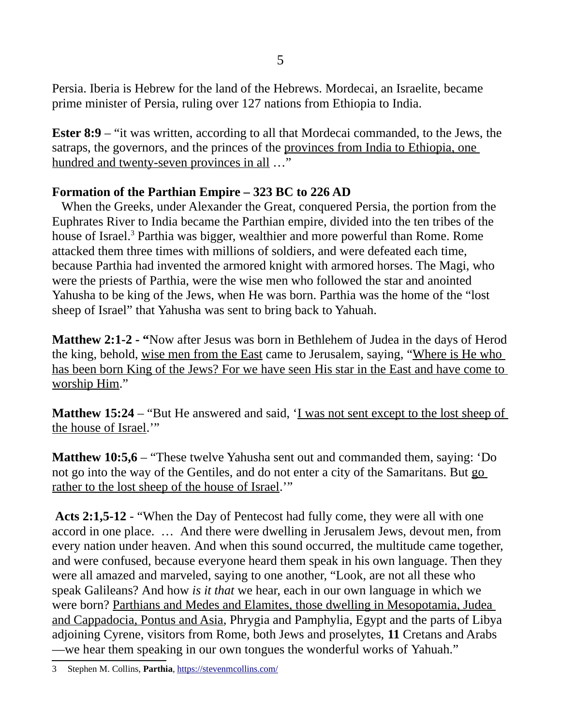Persia. Iberia is Hebrew for the land of the Hebrews. Mordecai, an Israelite, became prime minister of Persia, ruling over 127 nations from Ethiopia to India.

**Ester 8:9** – "it was written, according to all that Mordecai commanded, to the Jews, the satraps, the governors, and the princes of the provinces from India to Ethiopia, one hundred and twenty-seven provinces in all …"

# **Formation of the Parthian Empire – 323 BC to 226 AD**

 When the Greeks, under Alexander the Great, conquered Persia, the portion from the Euphrates River to India became the Parthian empire, divided into the ten tribes of the house of Israel.<sup>[3](#page-4-0)</sup> Parthia was bigger, wealthier and more powerful than Rome. Rome attacked them three times with millions of soldiers, and were defeated each time, because Parthia had invented the armored knight with armored horses. The Magi, who were the priests of Parthia, were the wise men who followed the star and anointed Yahusha to be king of the Jews, when He was born. Parthia was the home of the "lost sheep of Israel" that Yahusha was sent to bring back to Yahuah.

**Matthew 2:1-2 - "**Now after Jesus was born in Bethlehem of Judea in the days of Herod the king, behold, wise men from the East came to Jerusalem, saying, "Where is He who has been born King of the Jews? For we have seen His star in the East and have come to worship Him."

**Matthew 15:24** – "But He answered and said, 'I was not sent except to the lost sheep of the house of Israel.'"

**Matthew 10:5,6** – "These twelve Yahusha sent out and commanded them, saying: 'Do not go into the way of the Gentiles, and do not enter a city of the Samaritans. But go rather to the lost sheep of the house of Israel."

**Acts 2:1,5-12** - "When the Day of Pentecost had fully come, they were all with one accord in one place. … And there were dwelling in Jerusalem Jews, devout men, from every nation under heaven. And when this sound occurred, the multitude came together, and were confused, because everyone heard them speak in his own language. Then they were all amazed and marveled, saying to one another, "Look, are not all these who speak Galileans? And how *is it that* we hear, each in our own language in which we were born? Parthians and Medes and Elamites, those dwelling in Mesopotamia, Judea and Cappadocia, Pontus and Asia, Phrygia and Pamphylia, Egypt and the parts of Libya adjoining Cyrene, visitors from Rome, both Jews and proselytes, **11** Cretans and Arabs —we hear them speaking in our own tongues the wonderful works of Yahuah."

<span id="page-4-0"></span><sup>3</sup> Stephen M. Collins, **Parthia**,<https://stevenmcollins.com/>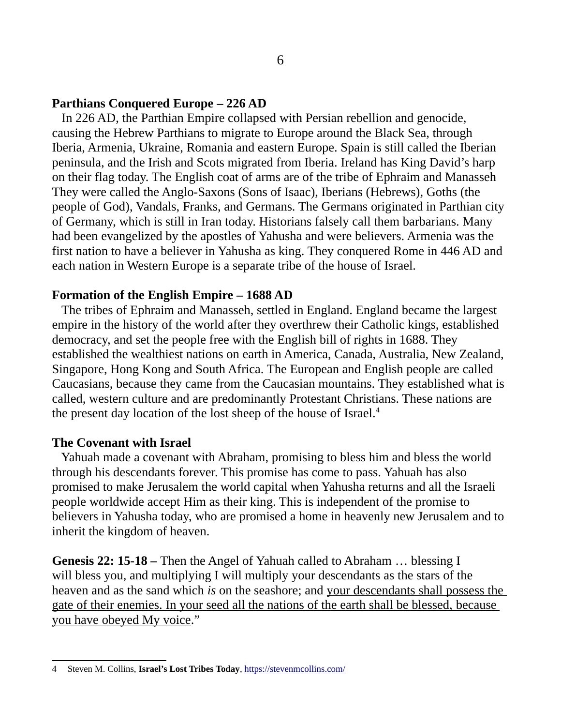#### **Parthians Conquered Europe – 226 AD**

 In 226 AD, the Parthian Empire collapsed with Persian rebellion and genocide, causing the Hebrew Parthians to migrate to Europe around the Black Sea, through Iberia, Armenia, Ukraine, Romania and eastern Europe. Spain is still called the Iberian peninsula, and the Irish and Scots migrated from Iberia. Ireland has King David's harp on their flag today. The English coat of arms are of the tribe of Ephraim and Manasseh They were called the Anglo-Saxons (Sons of Isaac), Iberians (Hebrews), Goths (the people of God), Vandals, Franks, and Germans. The Germans originated in Parthian city of Germany, which is still in Iran today. Historians falsely call them barbarians. Many had been evangelized by the apostles of Yahusha and were believers. Armenia was the first nation to have a believer in Yahusha as king. They conquered Rome in 446 AD and each nation in Western Europe is a separate tribe of the house of Israel.

#### **Formation of the English Empire – 1688 AD**

 The tribes of Ephraim and Manasseh, settled in England. England became the largest empire in the history of the world after they overthrew their Catholic kings, established democracy, and set the people free with the English bill of rights in 1688. They established the wealthiest nations on earth in America, Canada, Australia, New Zealand, Singapore, Hong Kong and South Africa. The European and English people are called Caucasians, because they came from the Caucasian mountains. They established what is called, western culture and are predominantly Protestant Christians. These nations are the present day location of the lost sheep of the house of Israel.<sup>[4](#page-5-0)</sup>

#### **The Covenant with Israel**

Yahuah made a covenant with Abraham, promising to bless him and bless the world through his descendants forever. This promise has come to pass. Yahuah has also promised to make Jerusalem the world capital when Yahusha returns and all the Israeli people worldwide accept Him as their king. This is independent of the promise to believers in Yahusha today, who are promised a home in heavenly new Jerusalem and to inherit the kingdom of heaven.

**Genesis 22: 15-18 –** Then the Angel of Yahuah called to Abraham … blessing I will bless you, and multiplying I will multiply your descendants as the stars of the heaven and as the sand which *is* on the seashore; and your descendants shall possess the gate of their enemies. In your seed all the nations of the earth shall be blessed, because you have obeyed My voice."

<span id="page-5-0"></span><sup>4</sup> Steven M. Collins, **Israel's Lost Tribes Today**, <https://stevenmcollins.com/>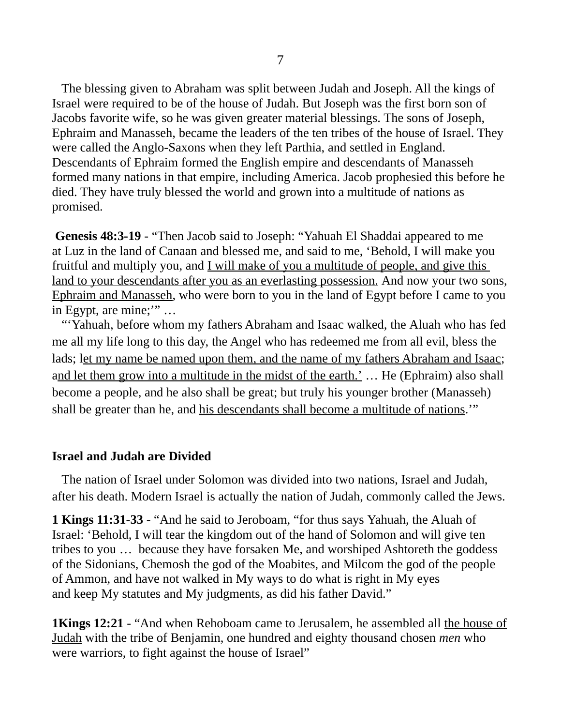The blessing given to Abraham was split between Judah and Joseph. All the kings of Israel were required to be of the house of Judah. But Joseph was the first born son of Jacobs favorite wife, so he was given greater material blessings. The sons of Joseph, Ephraim and Manasseh, became the leaders of the ten tribes of the house of Israel. They were called the Anglo-Saxons when they left Parthia, and settled in England. Descendants of Ephraim formed the English empire and descendants of Manasseh formed many nations in that empire, including America. Jacob prophesied this before he died. They have truly blessed the world and grown into a multitude of nations as promised.

**Genesis 48:3-19** - "Then Jacob said to Joseph: "Yahuah El Shaddai appeared to me at Luz in the land of Canaan and blessed me, and said to me, 'Behold, I will make you fruitful and multiply you, and I will make of you a multitude of people, and give this land to your descendants after you as an everlasting possession. And now your two sons, Ephraim and Manasseh, who were born to you in the land of Egypt before I came to you in Egypt, are mine;'" …

"'Yahuah, before whom my fathers Abraham and Isaac walked, the Aluah who has fed me all my life long to this day, the Angel who has redeemed me from all evil, bless the lads; let my name be named upon them, and the name of my fathers Abraham and Isaac; and let them grow into a multitude in the midst of the earth.' ... He (Ephraim) also shall become a people, and he also shall be great; but truly his younger brother (Manasseh) shall be greater than he, and his descendants shall become a multitude of nations.'"

#### **Israel and Judah are Divided**

 The nation of Israel under Solomon was divided into two nations, Israel and Judah, after his death. Modern Israel is actually the nation of Judah, commonly called the Jews.

**1 Kings 11:31-33** - "And he said to Jeroboam, "for thus says Yahuah, the Aluah of Israel: 'Behold, I will tear the kingdom out of the hand of Solomon and will give ten tribes to you … because they have forsaken Me, and worshiped Ashtoreth the goddess of the Sidonians, Chemosh the god of the Moabites, and Milcom the god of the people of Ammon, and have not walked in My ways to do what is right in My eyes and keep My statutes and My judgments, as did his father David."

1Kings 12:21 - "And when Rehoboam came to Jerusalem, he assembled all the house of Judah with the tribe of Benjamin, one hundred and eighty thousand chosen *men* who were warriors, to fight against the house of Israel"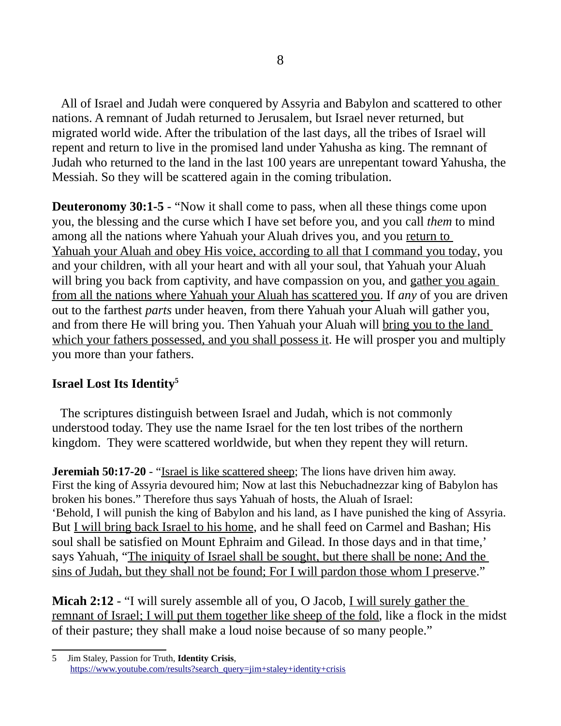All of Israel and Judah were conquered by Assyria and Babylon and scattered to other nations. A remnant of Judah returned to Jerusalem, but Israel never returned, but migrated world wide. After the tribulation of the last days, all the tribes of Israel will repent and return to live in the promised land under Yahusha as king. The remnant of Judah who returned to the land in the last 100 years are unrepentant toward Yahusha, the Messiah. So they will be scattered again in the coming tribulation.

**Deuteronomy 30:1-5** - "Now it shall come to pass, when all these things come upon you, the blessing and the curse which I have set before you, and you call *them* to mind among all the nations where Yahuah your Aluah drives you, and you return to Yahuah your Aluah and obey His voice, according to all that I command you today, you and your children, with all your heart and with all your soul, that Yahuah your Aluah will bring you back from captivity, and have compassion on you, and gather you again from all the nations where Yahuah your Aluah has scattered you. If *any* of you are driven out to the farthest *parts* under heaven, from there Yahuah your Aluah will gather you, and from there He will bring you. Then Yahuah your Aluah will bring you to the land which your fathers possessed, and you shall possess it. He will prosper you and multiply you more than your fathers.

# **Israel Lost Its Identity[5](#page-7-0)**

 The scriptures distinguish between Israel and Judah, which is not commonly understood today. They use the name Israel for the ten lost tribes of the northern kingdom. They were scattered worldwide, but when they repent they will return.

**Jeremiah 50:17-20** - "Israel is like scattered sheep; The lions have driven him away. First the king of Assyria devoured him; Now at last this Nebuchadnezzar king of Babylon has broken his bones." Therefore thus says Yahuah of hosts, the Aluah of Israel: 'Behold, I will punish the king of Babylon and his land, as I have punished the king of Assyria. But I will bring back Israel to his home, and he shall feed on Carmel and Bashan; His soul shall be satisfied on Mount Ephraim and Gilead. In those days and in that time,' says Yahuah, "The iniquity of Israel shall be sought, but there shall be none; And the sins of Judah, but they shall not be found; For I will pardon those whom I preserve."

**Micah 2:12** - "I will surely assemble all of you, O Jacob, I will surely gather the remnant of Israel; I will put them together like sheep of the fold, like a flock in the midst of their pasture; they shall make a loud noise because of so many people."

<span id="page-7-0"></span><sup>5</sup> Jim Staley, Passion for Truth, **Identity Crisis**, [https://www.youtube.com/results?search\\_query=jim+staley+identity+crisis](https://www.youtube.com/results?search_query=jim+staley+identity+crisis)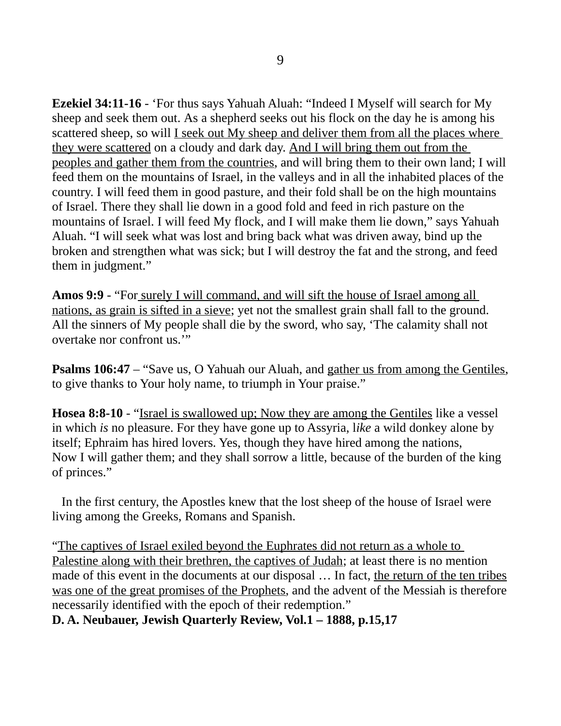**Ezekiel 34:11-16** - 'For thus says Yahuah Aluah: "Indeed I Myself will search for My sheep and seek them out. As a shepherd seeks out his flock on the day he is among his scattered sheep, so will I seek out My sheep and deliver them from all the places where they were scattered on a cloudy and dark day. And I will bring them out from the peoples and gather them from the countries, and will bring them to their own land; I will feed them on the mountains of Israel, in the valleys and in all the inhabited places of the country. I will feed them in good pasture, and their fold shall be on the high mountains of Israel. There they shall lie down in a good fold and feed in rich pasture on the mountains of Israel. I will feed My flock, and I will make them lie down," says Yahuah Aluah. "I will seek what was lost and bring back what was driven away, bind up the broken and strengthen what was sick; but I will destroy the fat and the strong, and feed them in judgment."

**Amos 9:9** - "For surely I will command, and will sift the house of Israel among all nations, as grain is sifted in a sieve; yet not the smallest grain shall fall to the ground. All the sinners of My people shall die by the sword, who say, 'The calamity shall not overtake nor confront us.'"

**Psalms 106:47** – "Save us, O Yahuah our Aluah, and gather us from among the Gentiles, to give thanks to Your holy name, to triumph in Your praise."

**Hosea 8:8-10** - "Israel is swallowed up; Now they are among the Gentiles like a vessel in which *is* no pleasure. For they have gone up to Assyria, l*ike* a wild donkey alone by itself; Ephraim has hired lovers. Yes, though they have hired among the nations, Now I will gather them; and they shall sorrow a little, because of the burden of the king of princes."

 In the first century, the Apostles knew that the lost sheep of the house of Israel were living among the Greeks, Romans and Spanish.

"The captives of Israel exiled beyond the Euphrates did not return as a whole to Palestine along with their brethren, the captives of Judah; at least there is no mention made of this event in the documents at our disposal … In fact, the return of the ten tribes was one of the great promises of the Prophets, and the advent of the Messiah is therefore necessarily identified with the epoch of their redemption."

# **D. A. Neubauer, Jewish Quarterly Review, Vol.1 – 1888, p.15,17**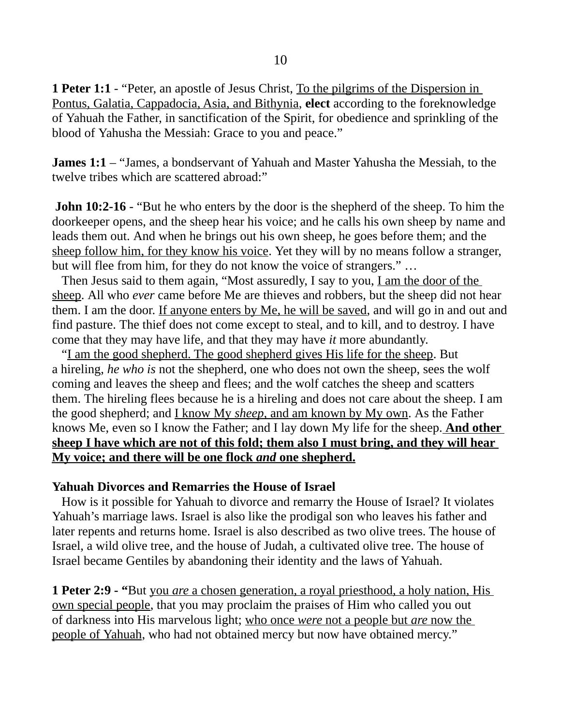**1 Peter 1:1** - "Peter, an apostle of Jesus Christ, To the pilgrims of the Dispersion in Pontus, Galatia, Cappadocia, Asia, and Bithynia, **elect** according to the foreknowledge of Yahuah the Father, in sanctification of the Spirit, for obedience and sprinkling of the blood of Yahusha the Messiah: Grace to you and peace."

**James 1:1** – "James, a bondservant of Yahuah and Master Yahusha the Messiah, to the twelve tribes which are scattered abroad:"

**John 10:2-16** - "But he who enters by the door is the shepherd of the sheep. To him the doorkeeper opens, and the sheep hear his voice; and he calls his own sheep by name and leads them out. And when he brings out his own sheep, he goes before them; and the sheep follow him, for they know his voice. Yet they will by no means follow a stranger, but will flee from him, for they do not know the voice of strangers." …

Then Jesus said to them again, "Most assuredly, I say to you, <u>I am the door of the</u> sheep. All who *ever* came before Me are thieves and robbers, but the sheep did not hear them. I am the door. If anyone enters by Me, he will be saved, and will go in and out and find pasture. The thief does not come except to steal, and to kill, and to destroy. I have come that they may have life, and that they may have *it* more abundantly.

"I am the good shepherd. The good shepherd gives His life for the sheep. But a hireling, *he who is* not the shepherd, one who does not own the sheep, sees the wolf coming and leaves the sheep and flees; and the wolf catches the sheep and scatters them. The hireling flees because he is a hireling and does not care about the sheep. I am the good shepherd; and I know My *sheep,* and am known by My own. As the Father knows Me, even so I know the Father; and I lay down My life for the sheep. **And other sheep I have which are not of this fold; them also I must bring, and they will hear My voice; and there will be one flock** *and* **one shepherd.**

#### **Yahuah Divorces and Remarries the House of Israel**

 How is it possible for Yahuah to divorce and remarry the House of Israel? It violates Yahuah's marriage laws. Israel is also like the prodigal son who leaves his father and later repents and returns home. Israel is also described as two olive trees. The house of Israel, a wild olive tree, and the house of Judah, a cultivated olive tree. The house of Israel became Gentiles by abandoning their identity and the laws of Yahuah.

**1 Peter 2:9 - "**But you *are* a chosen generation, a royal priesthood, a holy nation, His own special people, that you may proclaim the praises of Him who called you out of darkness into His marvelous light; who once *were* not a people but *are* now the people of Yahuah, who had not obtained mercy but now have obtained mercy."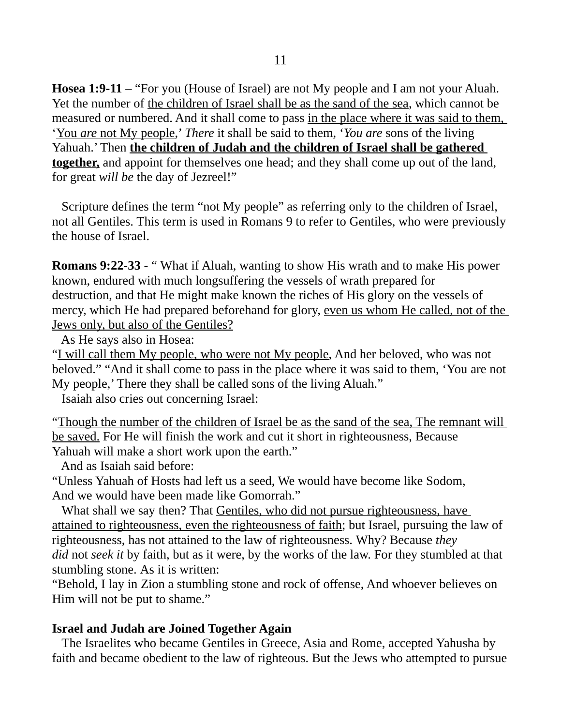**Hosea 1:9-11** – "For you (House of Israel) are not My people and I am not your Aluah. Yet the number of the children of Israel shall be as the sand of the sea, which cannot be measured or numbered. And it shall come to pass in the place where it was said to them, ' You *are* not My people,' *There* it shall be said to them, '*You are* sons of the living Yahuah.' Then **the children of Judah and the children of Israel shall be gathered together,** and appoint for themselves one head; and they shall come up out of the land, for great *will be* the day of Jezreel!"

 Scripture defines the term "not My people" as referring only to the children of Israel, not all Gentiles. This term is used in Romans 9 to refer to Gentiles, who were previously the house of Israel.

**Romans 9:22-33 - "** What if Aluah, wanting to show His wrath and to make His power known, endured with much longsuffering the vessels of wrath prepared for destruction, and that He might make known the riches of His glory on the vessels of mercy, which He had prepared beforehand for glory, even us whom He called, not of the Jews only, but also of the Gentiles?

As He says also in Hosea:

"I will call them My people, who were not My people, And her beloved, who was not beloved." "And it shall come to pass in the place where it was said to them, 'You are not My people,' There they shall be called sons of the living Aluah."

Isaiah also cries out concerning Israel:

"Though the number of the children of Israel be as the sand of the sea, The remnant will be saved. For He will finish the work and cut it short in righteousness, Because Yahuah will make a short work upon the earth."

And as Isaiah said before:

"Unless Yahuah of Hosts had left us a seed, We would have become like Sodom, And we would have been made like Gomorrah."

What shall we say then? That Gentiles, who did not pursue righteousness, have attained to righteousness, even the righteousness of faith; but Israel, pursuing the law of righteousness, has not attained to the law of righteousness. Why? Because *they did* not *seek it* by faith, but as it were, by the works of the law. For they stumbled at that stumbling stone. As it is written:

"Behold, I lay in Zion a stumbling stone and rock of offense, And whoever believes on Him will not be put to shame."

#### **Israel and Judah are Joined Together Again**

 The Israelites who became Gentiles in Greece, Asia and Rome, accepted Yahusha by faith and became obedient to the law of righteous. But the Jews who attempted to pursue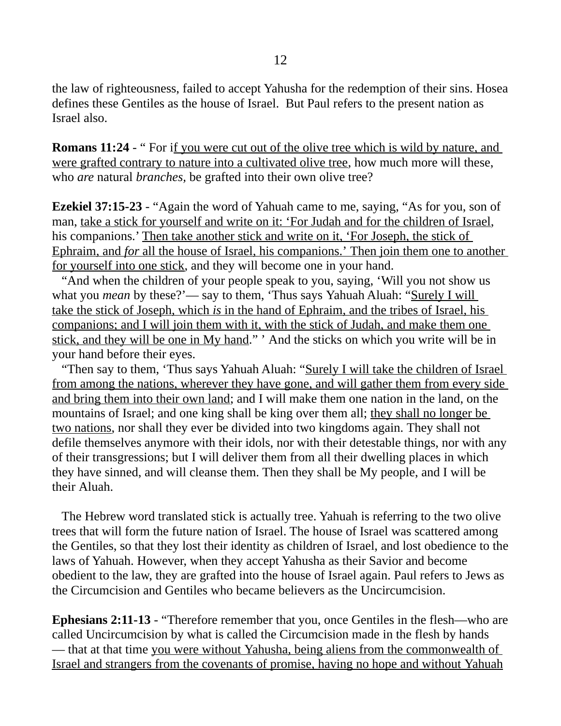the law of righteousness, failed to accept Yahusha for the redemption of their sins. Hosea defines these Gentiles as the house of Israel. But Paul refers to the present nation as Israel also.

**Romans 11:24 - "** For if you were cut out of the olive tree which is wild by nature, and were grafted contrary to nature into a cultivated olive tree, how much more will these, who *are* natural *branches,* be grafted into their own olive tree?

**Ezekiel 37:15-23** - "Again the word of Yahuah came to me, saying, "As for you, son of man, take a stick for yourself and write on it: 'For Judah and for the children of Israel, his companions.' Then take another stick and write on it, 'For Joseph, the stick of Ephraim, and *for* all the house of Israel, his companions.' Then join them one to another for yourself into one stick, and they will become one in your hand.

"And when the children of your people speak to you, saying, 'Will you not show us what you *mean* by these?'— say to them, 'Thus says Yahuah Aluah: "Surely I will take the stick of Joseph, which *is* in the hand of Ephraim, and the tribes of Israel, his companions; and I will join them with it, with the stick of Judah, and make them one stick, and they will be one in My hand." ' And the sticks on which you write will be in your hand before their eyes.

"Then say to them, 'Thus says Yahuah Aluah: "Surely I will take the children of Israel from among the nations, wherever they have gone, and will gather them from every side and bring them into their own land; and I will make them one nation in the land, on the mountains of Israel; and one king shall be king over them all; they shall no longer be two nations, nor shall they ever be divided into two kingdoms again. They shall not defile themselves anymore with their idols, nor with their detestable things, nor with any of their transgressions; but I will deliver them from all their dwelling places in which they have sinned, and will cleanse them. Then they shall be My people, and I will be their Aluah.

 The Hebrew word translated stick is actually tree. Yahuah is referring to the two olive trees that will form the future nation of Israel. The house of Israel was scattered among the Gentiles, so that they lost their identity as children of Israel, and lost obedience to the laws of Yahuah. However, when they accept Yahusha as their Savior and become obedient to the law, they are grafted into the house of Israel again. Paul refers to Jews as the Circumcision and Gentiles who became believers as the Uncircumcision.

**Ephesians 2:11-13** - "Therefore remember that you, once Gentiles in the flesh—who are called Uncircumcision by what is called the Circumcision made in the flesh by hands — that at that time you were without Yahusha, being aliens from the commonwealth of Israel and strangers from the covenants of promise, having no hope and without Yahuah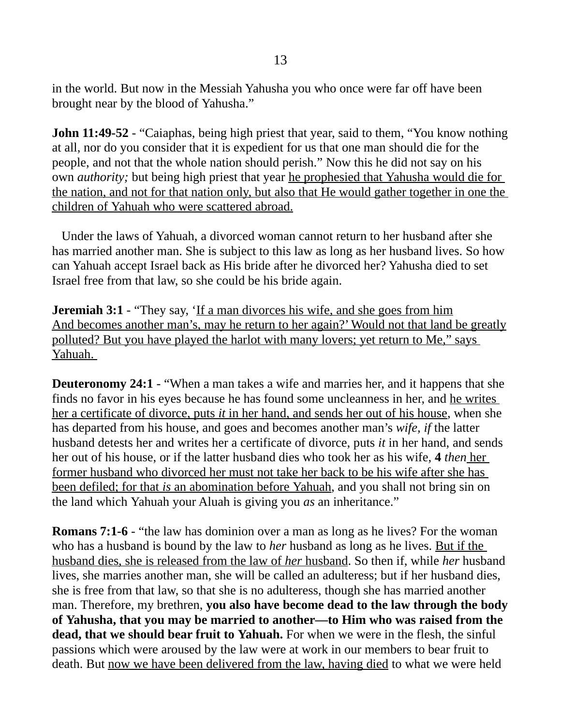in the world. But now in the Messiah Yahusha you who once were far off have been brought near by the blood of Yahusha."

**John 11:49-52** - "Caiaphas, being high priest that year, said to them, "You know nothing at all, nor do you consider that it is expedient for us that one man should die for the people, and not that the whole nation should perish." Now this he did not say on his own *authority;* but being high priest that year he prophesied that Yahusha would die for the nation, and not for that nation only, but also that He would gather together in one the children of Yahuah who were scattered abroad.

 Under the laws of Yahuah, a divorced woman cannot return to her husband after she has married another man. She is subject to this law as long as her husband lives. So how can Yahuah accept Israel back as His bride after he divorced her? Yahusha died to set Israel free from that law, so she could be his bride again.

**Jeremiah 3:1** - "They say, 'If a man divorces his wife, and she goes from him And becomes another man's, may he return to her again?' Would not that land be greatly polluted? But you have played the harlot with many lovers; yet return to Me," says Yahuah.

**Deuteronomy 24:1 - "When a man takes a wife and marries her, and it happens that she** finds no favor in his eyes because he has found some uncleanness in her, and he writes her a certificate of divorce, puts *it* in her hand, and sends her out of his house, when she has departed from his house, and goes and becomes another man's *wife, if* the latter husband detests her and writes her a certificate of divorce, puts *it* in her hand, and sends her out of his house, or if the latter husband dies who took her as his wife, **4** *then* her former husband who divorced her must not take her back to be his wife after she has been defiled; for that *is* an abomination before Yahuah, and you shall not bring sin on the land which Yahuah your Aluah is giving you *as* an inheritance."

**Romans 7:1-6** - "the law has dominion over a man as long as he lives? For the woman who has a husband is bound by the law to *her* husband as long as he lives. But if the husband dies, she is released from the law of *her* husband. So then if, while *her* husband lives, she marries another man, she will be called an adulteress; but if her husband dies, she is free from that law, so that she is no adulteress, though she has married another man. Therefore, my brethren, **you also have become dead to the law through the body of Yahusha, that you may be married to another—to Him who was raised from the dead, that we should bear fruit to Yahuah.** For when we were in the flesh, the sinful passions which were aroused by the law were at work in our members to bear fruit to death. But now we have been delivered from the law, having died to what we were held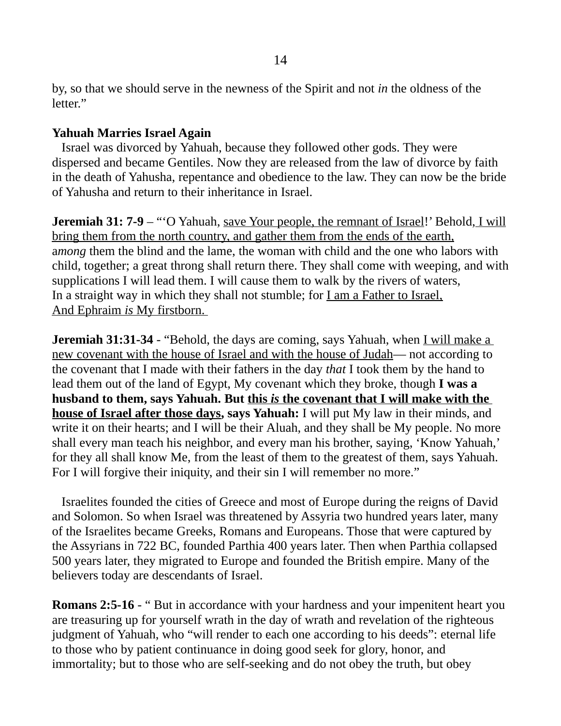by, so that we should serve in the newness of the Spirit and not *in* the oldness of the letter."

### **Yahuah Marries Israel Again**

 Israel was divorced by Yahuah, because they followed other gods. They were dispersed and became Gentiles. Now they are released from the law of divorce by faith in the death of Yahusha, repentance and obedience to the law. They can now be the bride of Yahusha and return to their inheritance in Israel.

**Jeremiah 31: 7-9** – "'O Yahuah, save Your people, the remnant of Israel!' Behold, I will bring them from the north country, and gather them from the ends of the earth, a*mong* them the blind and the lame, the woman with child and the one who labors with child, together; a great throng shall return there. They shall come with weeping, and with supplications I will lead them. I will cause them to walk by the rivers of waters, In a straight way in which they shall not stumble; for I am a Father to Israel, And Ephraim *is* My firstborn.

**Jeremiah 31:31-34** - "Behold, the days are coming, says Yahuah, when I will make a new covenant with the house of Israel and with the house of Judah— not according to the covenant that I made with their fathers in the day *that* I took them by the hand to lead them out of the land of Egypt, My covenant which they broke, though **I was a husband to them, says Yahuah. But this** *is* **the covenant that I will make with the house of Israel after those days, says Yahuah:** I will put My law in their minds, and write it on their hearts; and I will be their Aluah, and they shall be My people. No more shall every man teach his neighbor, and every man his brother, saying, 'Know Yahuah,' for they all shall know Me, from the least of them to the greatest of them, says Yahuah. For I will forgive their iniquity, and their sin I will remember no more."

 Israelites founded the cities of Greece and most of Europe during the reigns of David and Solomon. So when Israel was threatened by Assyria two hundred years later, many of the Israelites became Greeks, Romans and Europeans. Those that were captured by the Assyrians in 722 BC, founded Parthia 400 years later. Then when Parthia collapsed 500 years later, they migrated to Europe and founded the British empire. Many of the believers today are descendants of Israel.

**Romans 2:5-16 - "** But in accordance with your hardness and your impenitent heart you are treasuring up for yourself wrath in the day of wrath and revelation of the righteous judgment of Yahuah, who "will render to each one according to his deeds": eternal life to those who by patient continuance in doing good seek for glory, honor, and immortality; but to those who are self-seeking and do not obey the truth, but obey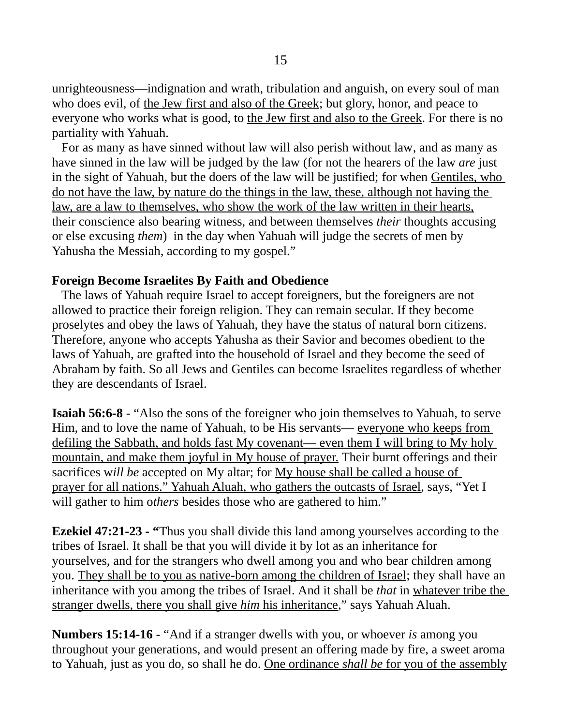unrighteousness—indignation and wrath, tribulation and anguish, on every soul of man who does evil, of the Jew first and also of the Greek; but glory, honor, and peace to everyone who works what is good, to the Jew first and also to the Greek. For there is no partiality with Yahuah.

 For as many as have sinned without law will also perish without law, and as many as have sinned in the law will be judged by the law (for not the hearers of the law *are* just in the sight of Yahuah, but the doers of the law will be justified; for when Gentiles, who do not have the law, by nature do the things in the law, these, although not having the law, are a law to themselves, who show the work of the law written in their hearts, their conscience also bearing witness, and between themselves *their* thoughts accusing or else excusing *them*) in the day when Yahuah will judge the secrets of men by Yahusha the Messiah, according to my gospel."

#### **Foreign Become Israelites By Faith and Obedience**

 The laws of Yahuah require Israel to accept foreigners, but the foreigners are not allowed to practice their foreign religion. They can remain secular. If they become proselytes and obey the laws of Yahuah, they have the status of natural born citizens. Therefore, anyone who accepts Yahusha as their Savior and becomes obedient to the laws of Yahuah, are grafted into the household of Israel and they become the seed of Abraham by faith. So all Jews and Gentiles can become Israelites regardless of whether they are descendants of Israel.

**Isaiah 56:6-8** - "Also the sons of the foreigner who join themselves to Yahuah, to serve Him, and to love the name of Yahuah, to be His servants— everyone who keeps from defiling the Sabbath, and holds fast My covenant— even them I will bring to My holy mountain, and make them joyful in My house of prayer. Their burnt offerings and their sacrifices w*ill be* accepted on My altar; for My house shall be called a house of prayer for all nations." Yahuah Aluah, who gathers the outcasts of Israel, says, "Yet I will gather to him o*thers* besides those who are gathered to him."

**Ezekiel 47:21-23 - "**Thus you shall divide this land among yourselves according to the tribes of Israel. It shall be that you will divide it by lot as an inheritance for yourselves, and for the strangers who dwell among you and who bear children among you. They shall be to you as native-born among the children of Israel; they shall have an inheritance with you among the tribes of Israel. And it shall be *that* in whatever tribe the stranger dwells, there you shall give *him* his inheritance," says Yahuah Aluah.

**Numbers 15:14-16** - "And if a stranger dwells with you, or whoever *is* among you throughout your generations, and would present an offering made by fire, a sweet aroma to Yahuah, just as you do, so shall he do. One ordinance *shall be* for you of the assembly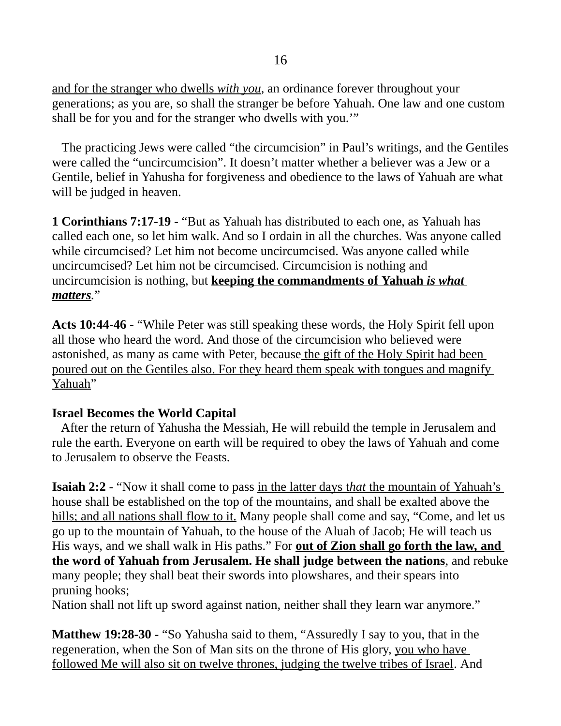and for the stranger who dwells *with you,* an ordinance forever throughout your generations; as you are, so shall the stranger be before Yahuah. One law and one custom shall be for you and for the stranger who dwells with you.'"

 The practicing Jews were called "the circumcision" in Paul's writings, and the Gentiles were called the "uncircumcision". It doesn't matter whether a believer was a Jew or a Gentile, belief in Yahusha for forgiveness and obedience to the laws of Yahuah are what will be judged in heaven.

**1 Corinthians 7:17-19** - "But as Yahuah has distributed to each one, as Yahuah has called each one, so let him walk. And so I ordain in all the churches. Was anyone called while circumcised? Let him not become uncircumcised. Was anyone called while uncircumcised? Let him not be circumcised. Circumcision is nothing and uncircumcision is nothing, but **keeping the commandments of Yahuah** *is what matters.*"

**Acts 10:44-46** - "While Peter was still speaking these words, the Holy Spirit fell upon all those who heard the word. And those of the circumcision who believed were astonished, as many as came with Peter, because the gift of the Holy Spirit had been poured out on the Gentiles also. For they heard them speak with tongues and magnify Yahuah"

### **Israel Becomes the World Capital**

 After the return of Yahusha the Messiah, He will rebuild the temple in Jerusalem and rule the earth. Everyone on earth will be required to obey the laws of Yahuah and come to Jerusalem to observe the Feasts.

**Isaiah 2:2** - "Now it shall come to pass in the latter days that the mountain of Yahuah's house shall be established on the top of the mountains, and shall be exalted above the hills; and all nations shall flow to it. Many people shall come and say, "Come, and let us go up to the mountain of Yahuah, to the house of the Aluah of Jacob; He will teach us His ways, and we shall walk in His paths." For **out of Zion shall go forth the law, and the word of Yahuah from Jerusalem. He shall judge between the nations**, and rebuke many people; they shall beat their swords into plowshares, and their spears into pruning hooks;

Nation shall not lift up sword against nation, neither shall they learn war anymore."

**Matthew 19:28-30** - "So Yahusha said to them, "Assuredly I say to you, that in the regeneration, when the Son of Man sits on the throne of His glory, you who have followed Me will also sit on twelve thrones, judging the twelve tribes of Israel. And